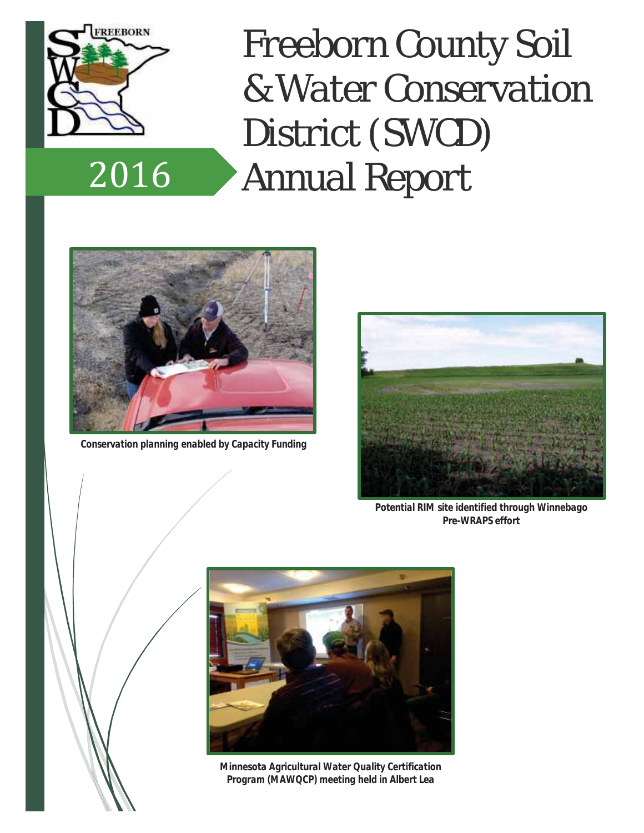

2016

*Freeborn County Soil & Water Conservation District (SWCD) Annual Report*



*Conservation planning enabled by Capacity Funding*



*Potential RIM site identified through Winnebago Pre-WRAPS effort*



*Minnesota Agricultural Water Quality Certification Program (MAWQCP) meeting held in Albert Lea*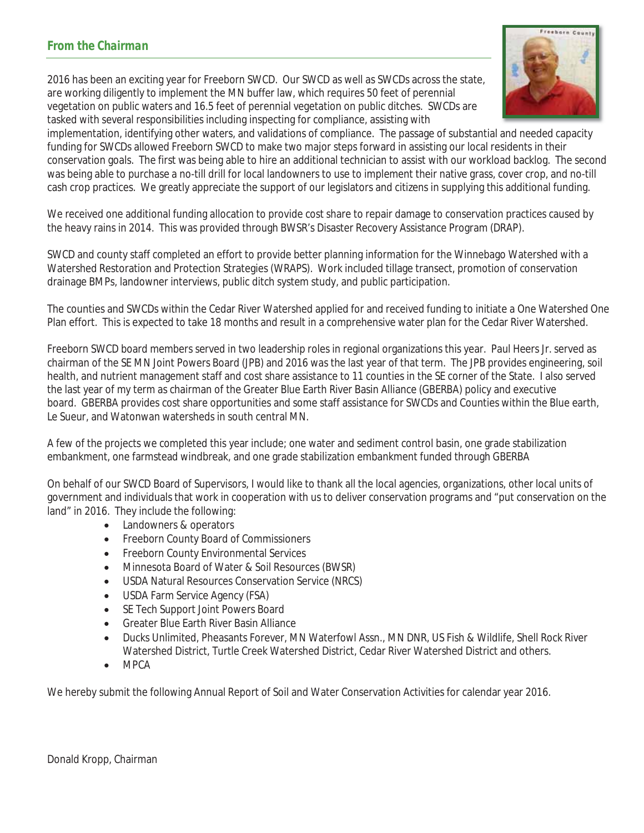2016 has been an exciting year for Freeborn SWCD. Our SWCD as well as SWCDs across the state, are working diligently to implement the MN buffer law, which requires 50 feet of perennial vegetation on public waters and 16.5 feet of perennial vegetation on public ditches. SWCDs are tasked with several responsibilities including inspecting for compliance, assisting with



implementation, identifying other waters, and validations of compliance. The passage of substantial and needed capacity funding for SWCDs allowed Freeborn SWCD to make two major steps forward in assisting our local residents in their conservation goals. The first was being able to hire an additional technician to assist with our workload backlog. The second was being able to purchase a no-till drill for local landowners to use to implement their native grass, cover crop, and no-till cash crop practices. We greatly appreciate the support of our legislators and citizens in supplying this additional funding.

We received one additional funding allocation to provide cost share to repair damage to conservation practices caused by the heavy rains in 2014. This was provided through BWSR's Disaster Recovery Assistance Program (DRAP).

SWCD and county staff completed an effort to provide better planning information for the Winnebago Watershed with a Watershed Restoration and Protection Strategies (WRAPS). Work included tillage transect, promotion of conservation drainage BMPs, landowner interviews, public ditch system study, and public participation.

The counties and SWCDs within the Cedar River Watershed applied for and received funding to initiate a One Watershed One Plan effort. This is expected to take 18 months and result in a comprehensive water plan for the Cedar River Watershed.

Freeborn SWCD board members served in two leadership roles in regional organizations this year. Paul Heers Jr. served as chairman of the SE MN Joint Powers Board (JPB) and 2016 was the last year of that term. The JPB provides engineering, soil health, and nutrient management staff and cost share assistance to 11 counties in the SE corner of the State. I also served the last year of my term as chairman of the Greater Blue Earth River Basin Alliance (GBERBA) policy and executive board. GBERBA provides cost share opportunities and some staff assistance for SWCDs and Counties within the Blue earth, Le Sueur, and Watonwan watersheds in south central MN.

A few of the projects we completed this year include; one water and sediment control basin, one grade stabilization embankment, one farmstead windbreak, and one grade stabilization embankment funded through GBERBA

On behalf of our SWCD Board of Supervisors, I would like to thank all the local agencies, organizations, other local units of government and individuals that work in cooperation with us to deliver conservation programs and "put conservation on the land" in 2016. They include the following:

- Landowners & operators
- Freeborn County Board of Commissioners
- Freeborn County Environmental Services
- x Minnesota Board of Water & Soil Resources (BWSR)
- USDA Natural Resources Conservation Service (NRCS)
- USDA Farm Service Agency (FSA)
- SE Tech Support Joint Powers Board
- x Greater Blue Earth River Basin Alliance
- x Ducks Unlimited, Pheasants Forever, MN Waterfowl Assn., MN DNR, US Fish & Wildlife, Shell Rock River Watershed District, Turtle Creek Watershed District, Cedar River Watershed District and others.
- $\bullet$  MPCA

We hereby submit the following Annual Report of Soil and Water Conservation Activities for calendar year 2016.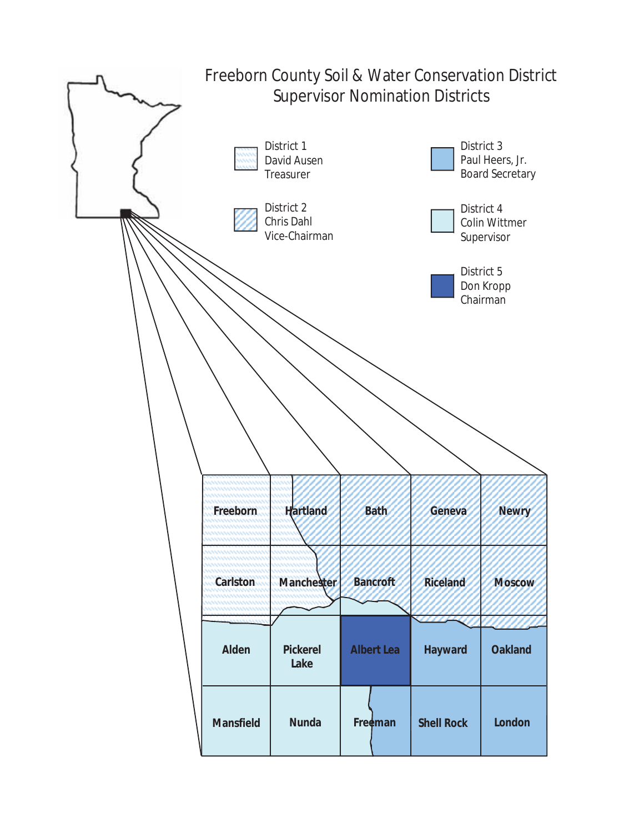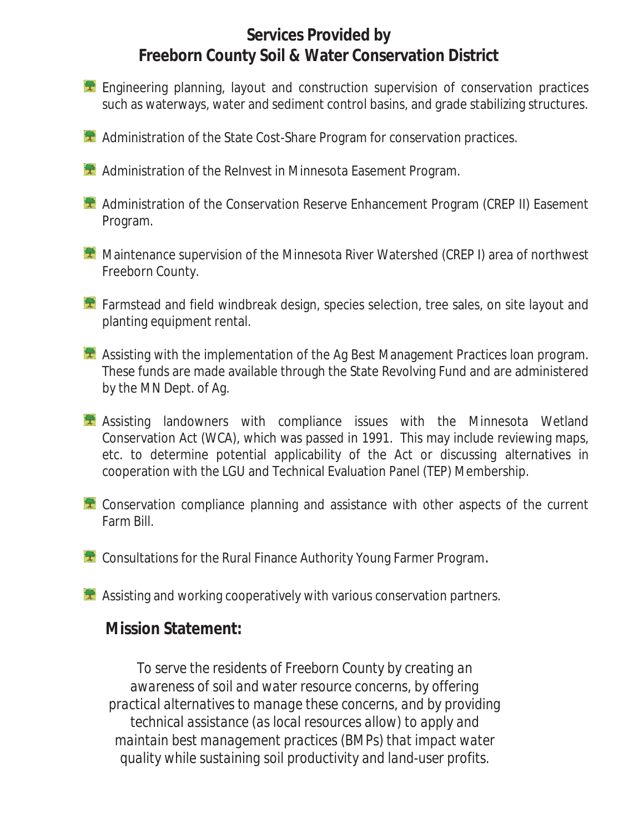## **Services Provided by Freeborn County Soil & Water Conservation District**

- **Engineering planning, layout and construction supervision of conservation practices** such as waterways, water and sediment control basins, and grade stabilizing structures.
- **A Administration of the State Cost-Share Program for conservation practices.**
- **Administration of the ReInvest in Minnesota Easement Program.**
- Administration of the Conservation Reserve Enhancement Program (CREP II) Easement Program.
- **Maintenance supervision of the Minnesota River Watershed (CREP I) area of northwest** Freeborn County.
- **T** Farmstead and field windbreak design, species selection, tree sales, on site layout and planting equipment rental.
- Assisting with the implementation of the Ag Best Management Practices Ioan program. These funds are made available through the State Revolving Fund and are administered by the MN Dept. of Ag.
- Assisting landowners with compliance issues with the Minnesota Wetland Conservation Act (WCA), which was passed in 1991. This may include reviewing maps, etc. to determine potential applicability of the Act or discussing alternatives in cooperation with the LGU and Technical Evaluation Panel (TEP) Membership.
- **Conservation compliance planning and assistance with other aspects of the current** Farm Bill.
- **Consultations for the Rural Finance Authority Young Farmer Program.**
- $\triangle$  Assisting and working cooperatively with various conservation partners.

## **Mission Statement:**

*To serve the residents of Freeborn County by creating an awareness of soil and water resource concerns, by offering practical alternatives to manage these concerns, and by providing technical assistance (as local resources allow) to apply and maintain best management practices (BMPs) that impact water quality while sustaining soil productivity and land-user profits.*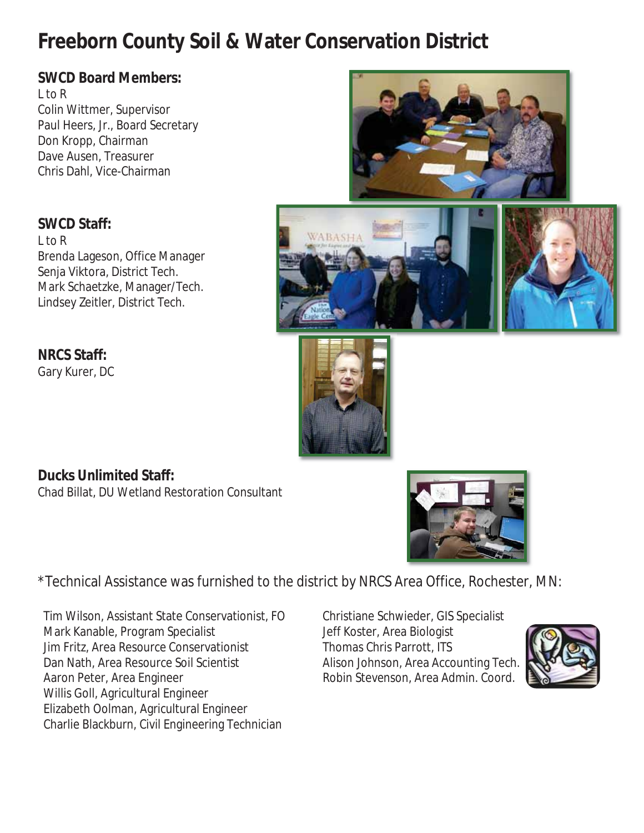## **Freeborn County Soil & Water Conservation District**

## **SWCD Board Members:**

L to R Colin Wittmer, Supervisor Paul Heers, Jr., Board Secretary Don Kropp, Chairman Dave Ausen, Treasurer Chris Dahl, Vice-Chairman

#### **SWCD Staff:**

L to R Brenda Lageson, Office Manager Senja Viktora, District Tech. Mark Schaetzke, Manager/Tech. Lindsey Zeitler, District Tech.

# **NRCS Staff:** Gary Kurer, DC





**Ducks Unlimited Staff:**  Chad Billat, DU Wetland Restoration Consultant

\*Technical Assistance was furnished to the district by NRCS Area Office, Rochester, MN:

Tim Wilson, Assistant State Conservationist, FO Christiane Schwieder, GIS Specialist Mark Kanable, Program Specialist Jeff Koster, Area Biologist Jim Fritz, Area Resource Conservationist Thomas Chris Parrott, ITS Dan Nath, Area Resource Soil Scientist Alison Johnson, Area Accounting Tech. Aaron Peter, Area Engineer **Robin Stevenson, Area Admin. Coord.** Robin Stevenson, Area Admin. Coord. Willis Goll, Agricultural Engineer Elizabeth Oolman, Agricultural Engineer Charlie Blackburn, Civil Engineering Technician

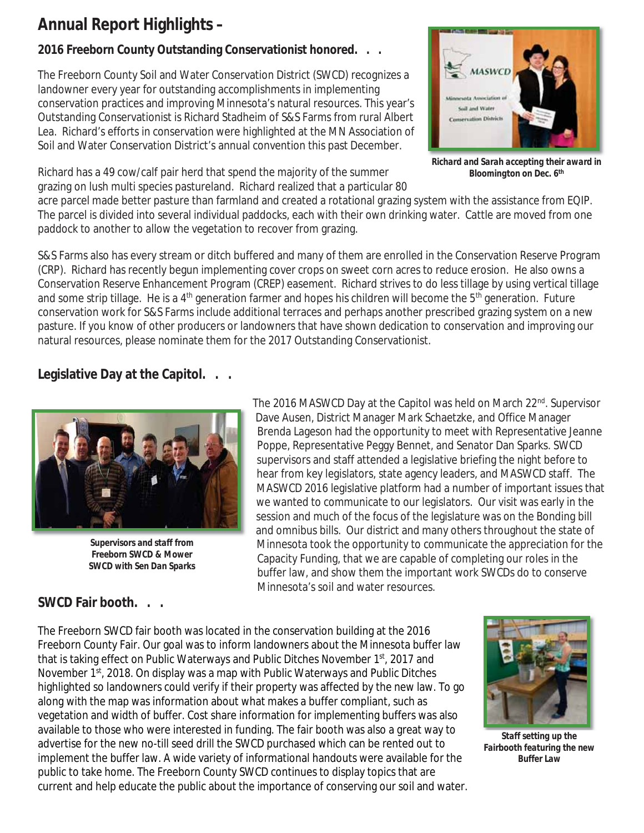## **Annual Report Highlights –**

## **2016 Freeborn County Outstanding Conservationist honored. . .**

The Freeborn County Soil and Water Conservation District (SWCD) recognizes a landowner every year for outstanding accomplishments in implementing conservation practices and improving Minnesota's natural resources. This year's Outstanding Conservationist is Richard Stadheim of S&S Farms from rural Albert Lea. Richard's efforts in conservation were highlighted at the MN Association of Soil and Water Conservation District's annual convention this past December.

Richard has a 49 cow/calf pair herd that spend the majority of the summer grazing on lush multi species pastureland. Richard realized that a particular 80



*Richard and Sarah accepting their award in Bloomington on Dec. 6th*

acre parcel made better pasture than farmland and created a rotational grazing system with the assistance from EQIP. The parcel is divided into several individual paddocks, each with their own drinking water. Cattle are moved from one paddock to another to allow the vegetation to recover from grazing.

S&S Farms also has every stream or ditch buffered and many of them are enrolled in the Conservation Reserve Program (CRP). Richard has recently begun implementing cover crops on sweet corn acres to reduce erosion. He also owns a Conservation Reserve Enhancement Program (CREP) easement. Richard strives to do less tillage by using vertical tillage and some strip tillage. He is a  $4<sup>th</sup>$  generation farmer and hopes his children will become the  $5<sup>th</sup>$  generation. Future conservation work for S&S Farms include additional terraces and perhaps another prescribed grazing system on a new pasture. If you know of other producers or landowners that have shown dedication to conservation and improving our natural resources, please nominate them for the 2017 Outstanding Conservationist.

#### **Legislative Day at the Capitol. . .**



*Supervisors and staff from Freeborn SWCD & Mower SWCD with Sen Dan Sparks* 

The 2016 MASWCD Day at the Capitol was held on March 22<sup>nd</sup>. Supervisor Dave Ausen, District Manager Mark Schaetzke, and Office Manager Brenda Lageson had the opportunity to meet with Representative Jeanne Poppe, Representative Peggy Bennet, and Senator Dan Sparks. SWCD supervisors and staff attended a legislative briefing the night before to hear from key legislators, state agency leaders, and MASWCD staff. The MASWCD 2016 legislative platform had a number of important issues that we wanted to communicate to our legislators. Our visit was early in the session and much of the focus of the legislature was on the Bonding bill and omnibus bills. Our district and many others throughout the state of Minnesota took the opportunity to communicate the appreciation for the Capacity Funding, that we are capable of completing our roles in the buffer law, and show them the important work SWCDs do to conserve Minnesota's soil and water resources.

### **SWCD Fair booth. . .**

The Freeborn SWCD fair booth was located in the conservation building at the 2016 Freeborn County Fair. Our goal was to inform landowners about the Minnesota buffer law that is taking effect on Public Waterways and Public Ditches November 1<sup>st</sup>, 2017 and November 1st, 2018. On display was a map with Public Waterways and Public Ditches highlighted so landowners could verify if their property was affected by the new law. To go along with the map was information about what makes a buffer compliant, such as vegetation and width of buffer. Cost share information for implementing buffers was also available to those who were interested in funding. The fair booth was also a great way to advertise for the new no-till seed drill the SWCD purchased which can be rented out to implement the buffer law. A wide variety of informational handouts were available for the public to take home. The Freeborn County SWCD continues to display topics that are current and help educate the public about the importance of conserving our soil and water.



*Staff setting up the Fairbooth featuring the new Buffer Law*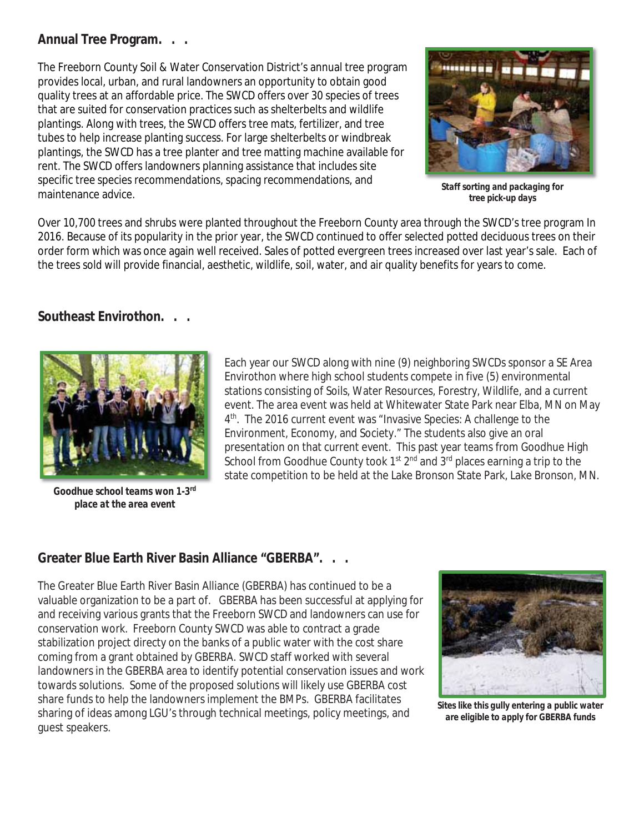#### **Annual Tree Program. . .**

The Freeborn County Soil & Water Conservation District's annual tree program provides local, urban, and rural landowners an opportunity to obtain good quality trees at an affordable price. The SWCD offers over 30 species of trees that are suited for conservation practices such as shelterbelts and wildlife plantings. Along with trees, the SWCD offers tree mats, fertilizer, and tree tubes to help increase planting success. For large shelterbelts or windbreak plantings, the SWCD has a tree planter and tree matting machine available for rent. The SWCD offers landowners planning assistance that includes site specific tree species recommendations, spacing recommendations, and maintenance advice.



*Staff sorting and packaging for tree pick-up days* 

Over 10,700 trees and shrubs were planted throughout the Freeborn County area through the SWCD's tree program In 2016. Because of its popularity in the prior year, the SWCD continued to offer selected potted deciduous trees on their order form which was once again well received. Sales of potted evergreen trees increased over last year's sale. Each of the trees sold will provide financial, aesthetic, wildlife, soil, water, and air quality benefits for years to come.

#### **Southeast Envirothon. . .**



*Goodhue school teams won 1-3rd place at the area event* 

Each year our SWCD along with nine (9) neighboring SWCDs sponsor a SE Area Envirothon where high school students compete in five (5) environmental stations consisting of Soils, Water Resources, Forestry, Wildlife, and a current event. The area event was held at Whitewater State Park near Elba, MN on May 4<sup>th</sup>. The 2016 current event was "Invasive Species: A challenge to the Environment, Economy, and Society." The students also give an oral presentation on that current event. This past year teams from Goodhue High School from Goodhue County took 1<sup>st</sup> 2<sup>nd</sup> and 3<sup>rd</sup> places earning a trip to the state competition to be held at the Lake Bronson State Park, Lake Bronson, MN.

#### **Greater Blue Earth River Basin Alliance "GBERBA". . .**

The Greater Blue Earth River Basin Alliance (GBERBA) has continued to be a valuable organization to be a part of. GBERBA has been successful at applying for and receiving various grants that the Freeborn SWCD and landowners can use for conservation work. Freeborn County SWCD was able to contract a grade stabilization project directy on the banks of a public water with the cost share coming from a grant obtained by GBERBA. SWCD staff worked with several landowners in the GBERBA area to identify potential conservation issues and work towards solutions. Some of the proposed solutions will likely use GBERBA cost share funds to help the landowners implement the BMPs. GBERBA facilitates sharing of ideas among LGU's through technical meetings, policy meetings, and guest speakers.



*Sites like this gully entering a public water are eligible to apply for GBERBA funds*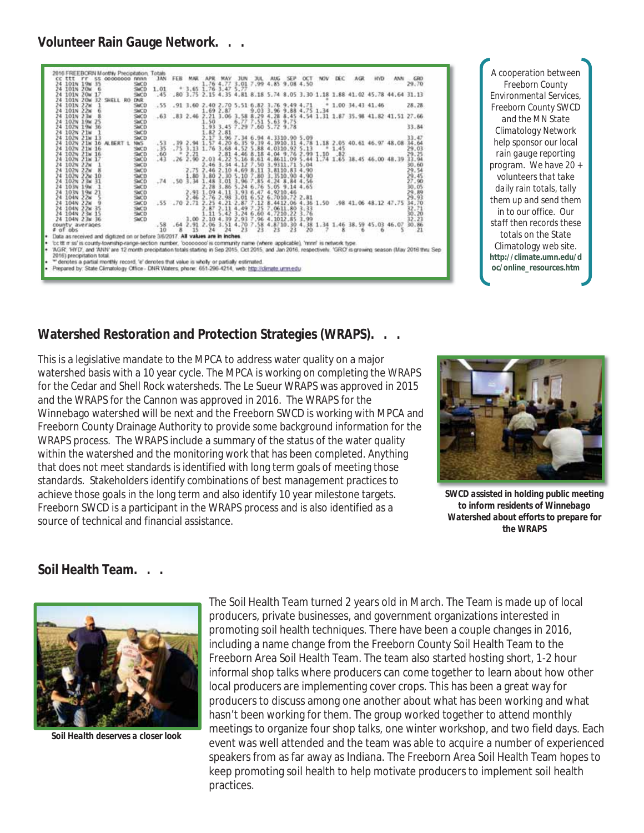#### **Volunteer Rain Gauge Network. . .**



*A cooperation between Freeborn County Environmental Services, Freeborn County SWCD and the MN State Climatology Network help sponsor our local rain gauge reporting program. We have 20 + volunteers that take daily rain totals, tally them up and send them in to our office. Our staff then records these* totals on the State Climatology web site. **http://climate.umn.edu/d oc/online\_resources.htm** 

#### **Watershed Restoration and Protection Strategies (WRAPS). . .**

This is a legislative mandate to the MPCA to address water quality on a major watershed basis with a 10 year cycle. The MPCA is working on completing the WRAPS for the Cedar and Shell Rock watersheds. The Le Sueur WRAPS was approved in 2015 and the WRAPS for the Cannon was approved in 2016. The WRAPS for the Winnebago watershed will be next and the Freeborn SWCD is working with MPCA and Freeborn County Drainage Authority to provide some background information for the WRAPS process. The WRAPS include a summary of the status of the water quality within the watershed and the monitoring work that has been completed. Anything that does not meet standards is identified with long term goals of meeting those standards. Stakeholders identify combinations of best management practices to achieve those goals in the long term and also identify 10 year milestone targets. Freeborn SWCD is a participant in the WRAPS process and is also identified as a source of technical and financial assistance.



*SWCD assisted in holding public meeting to inform residents of Winnebago Watershed about efforts to prepare for the WRAPS*

#### **Soil Health Team. . .**



*Soil Health deserves a closer look* 

The Soil Health Team turned 2 years old in March. The Team is made up of local producers, private businesses, and government organizations interested in promoting soil health techniques. There have been a couple changes in 2016, including a name change from the Freeborn County Soil Health Team to the Freeborn Area Soil Health Team. The team also started hosting short, 1-2 hour informal shop talks where producers can come together to learn about how other local producers are implementing cover crops. This has been a great way for producers to discuss among one another about what has been working and what hasn't been working for them. The group worked together to attend monthly meetings to organize four shop talks, one winter workshop, and two field days. Each event was well attended and the team was able to acquire a number of experienced speakers from as far away as Indiana. The Freeborn Area Soil Health Team hopes to keep promoting soil health to help motivate producers to implement soil health practices.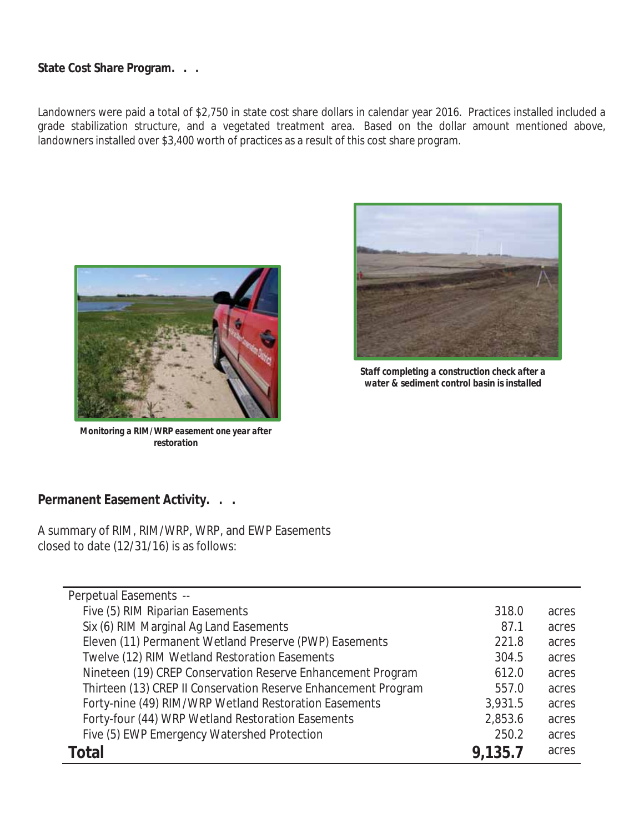#### **State Cost Share Program. . .**

Landowners were paid a total of \$2,750 in state cost share dollars in calendar year 2016. Practices installed included a grade stabilization structure, and a vegetated treatment area. Based on the dollar amount mentioned above, landowners installed over \$3,400 worth of practices as a result of this cost share program.



*Monitoring a RIM/WRP easement one year after restoration*



*Staff completing a construction check after a water & sediment control basin is installed* 

#### **Permanent Easement Activity. . .**

A summary of RIM, RIM/WRP, WRP, and EWP Easements closed to date (12/31/16) is as follows:

| Perpetual Easements --                                         |         |       |
|----------------------------------------------------------------|---------|-------|
| Five (5) RIM Riparian Easements                                | 318.0   | acres |
| Six (6) RIM Marginal Ag Land Easements                         | 87.1    | acres |
| Eleven (11) Permanent Wetland Preserve (PWP) Easements         | 221.8   | acres |
| Twelve (12) RIM Wetland Restoration Easements                  | 304.5   | acres |
| Nineteen (19) CREP Conservation Reserve Enhancement Program    | 612.0   | acres |
| Thirteen (13) CREP II Conservation Reserve Enhancement Program | 557.0   | acres |
| Forty-nine (49) RIM/WRP Wetland Restoration Easements          | 3,931.5 | acres |
| Forty-four (44) WRP Wetland Restoration Easements              | 2,853.6 | acres |
| Five (5) EWP Emergency Watershed Protection                    | 250.2   | acres |
| Total                                                          | 9,135.7 | acres |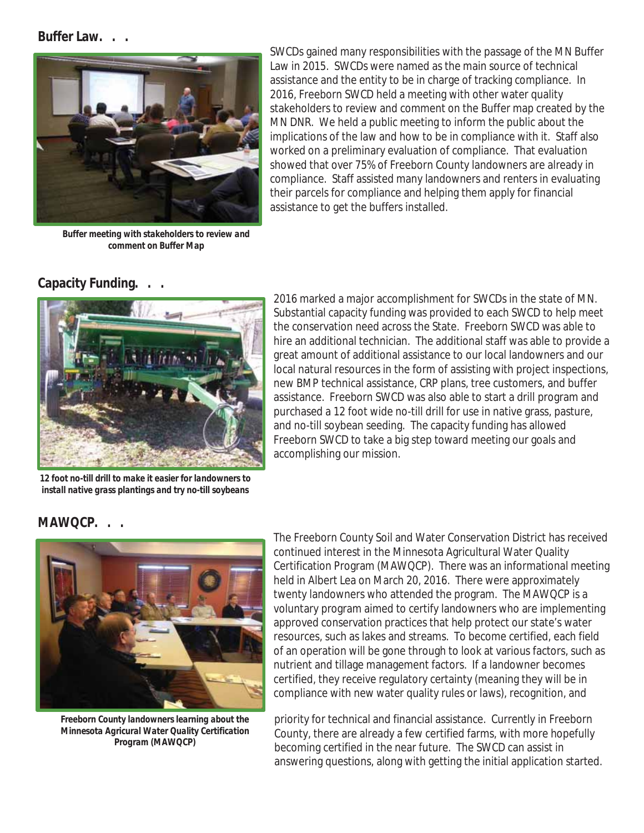#### **Buffer Law. . .**



*Buffer meeting with stakeholders to review and comment on Buffer Map* 

SWCDs gained many responsibilities with the passage of the MN Buffer Law in 2015. SWCDs were named as the main source of technical assistance and the entity to be in charge of tracking compliance. In 2016, Freeborn SWCD held a meeting with other water quality stakeholders to review and comment on the Buffer map created by the MN DNR. We held a public meeting to inform the public about the implications of the law and how to be in compliance with it. Staff also worked on a preliminary evaluation of compliance. That evaluation showed that over 75% of Freeborn County landowners are already in compliance. Staff assisted many landowners and renters in evaluating their parcels for compliance and helping them apply for financial assistance to get the buffers installed.

#### **Capacity Funding.**



*12 foot no-till drill to make it easier for landowners to install native grass plantings and try no-till soybeans* 

2016 marked a major accomplishment for SWCDs in the state of MN. Substantial capacity funding was provided to each SWCD to help meet the conservation need across the State. Freeborn SWCD was able to hire an additional technician. The additional staff was able to provide a great amount of additional assistance to our local landowners and our local natural resources in the form of assisting with project inspections, new BMP technical assistance, CRP plans, tree customers, and buffer assistance. Freeborn SWCD was also able to start a drill program and purchased a 12 foot wide no-till drill for use in native grass, pasture, and no-till soybean seeding. The capacity funding has allowed Freeborn SWCD to take a big step toward meeting our goals and accomplishing our mission.

#### **MAWQCP. . .**



*Freeborn County landowners learning about the Minnesota Agricural Water Quality Certification Program (MAWQCP)* 

The Freeborn County Soil and Water Conservation District has received continued interest in the Minnesota Agricultural Water Quality Certification Program (MAWQCP). There was an informational meeting held in Albert Lea on March 20, 2016. There were approximately twenty landowners who attended the program. The MAWQCP is a voluntary program aimed to certify landowners who are implementing approved conservation practices that help protect our state's water resources, such as lakes and streams. To become certified, each field of an operation will be gone through to look at various factors, such as nutrient and tillage management factors. If a landowner becomes certified, they receive regulatory certainty (meaning they will be in compliance with new water quality rules or laws), recognition, and

priority for technical and financial assistance. Currently in Freeborn County, there are already a few certified farms, with more hopefully becoming certified in the near future. The SWCD can assist in answering questions, along with getting the initial application started.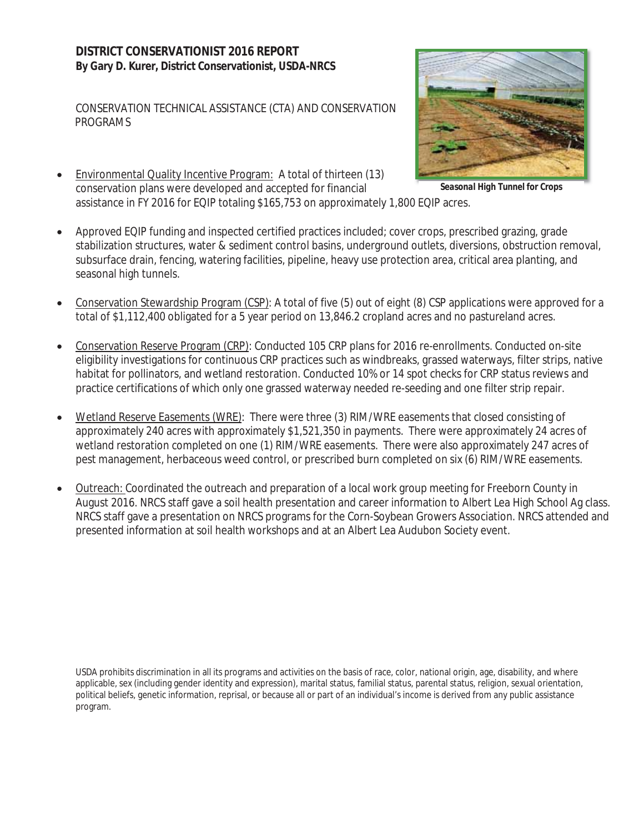CONSERVATION TECHNICAL ASSISTANCE (CTA) AND CONSERVATION PROGRAMS

Environmental Quality Incentive Program: A total of thirteen (13) conservation plans were developed and accepted for financial assistance in FY 2016 for EQIP totaling \$165,753 on approximately 1,800 EQIP acres.



*Seasonal High Tunnel for Crops* 

- Approved EQIP funding and inspected certified practices included; cover crops, prescribed grazing, grade stabilization structures, water & sediment control basins, underground outlets, diversions, obstruction removal, subsurface drain, fencing, watering facilities, pipeline, heavy use protection area, critical area planting, and seasonal high tunnels.
- x Conservation Stewardship Program (CSP): A total of five (5) out of eight (8) CSP applications were approved for a total of \$1,112,400 obligated for a 5 year period on 13,846.2 cropland acres and no pastureland acres.
- Conservation Reserve Program (CRP): Conducted 105 CRP plans for 2016 re-enrollments. Conducted on-site eligibility investigations for continuous CRP practices such as windbreaks, grassed waterways, filter strips, native habitat for pollinators, and wetland restoration. Conducted 10% or 14 spot checks for CRP status reviews and practice certifications of which only one grassed waterway needed re-seeding and one filter strip repair.
- Wetland Reserve Easements (WRE): There were three (3) RIM/WRE easements that closed consisting of approximately 240 acres with approximately \$1,521,350 in payments. There were approximately 24 acres of wetland restoration completed on one (1) RIM/WRE easements. There were also approximately 247 acres of pest management, herbaceous weed control, or prescribed burn completed on six (6) RIM/WRE easements.
- Outreach: Coordinated the outreach and preparation of a local work group meeting for Freeborn County in August 2016. NRCS staff gave a soil health presentation and career information to Albert Lea High School Ag class. NRCS staff gave a presentation on NRCS programs for the Corn-Soybean Growers Association. NRCS attended and presented information at soil health workshops and at an Albert Lea Audubon Society event.

USDA prohibits discrimination in all its programs and activities on the basis of race, color, national origin, age, disability, and where applicable, sex (including gender identity and expression), marital status, familial status, parental status, religion, sexual orientation, political beliefs, genetic information, reprisal, or because all or part of an individual's income is derived from any public assistance program.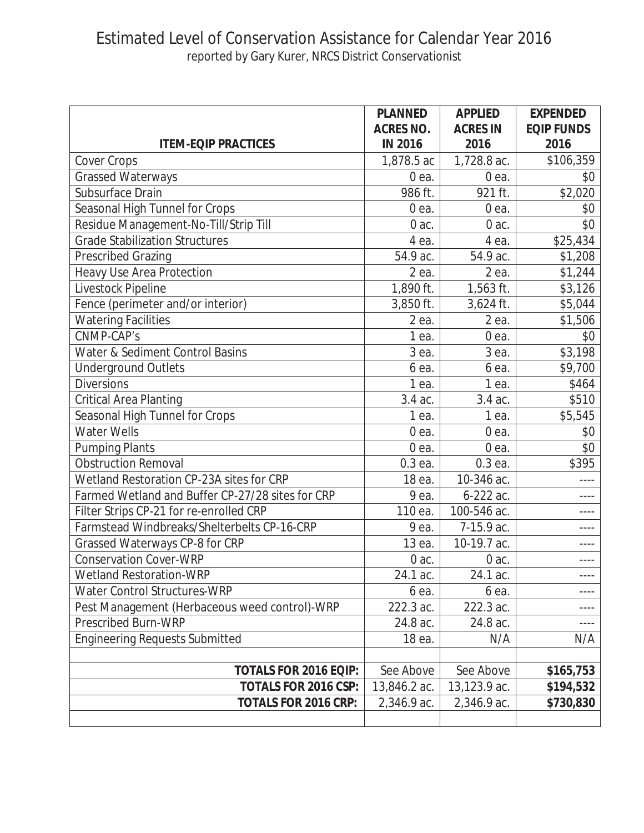## Estimated Level of Conservation Assistance for Calendar Year 2016 reported by Gary Kurer, NRCS District Conservationist

|                                                  | <b>PLANNED</b>                     | <b>APPLIED</b>          | <b>EXPENDED</b>           |
|--------------------------------------------------|------------------------------------|-------------------------|---------------------------|
| <b>ITEM-EQIP PRACTICES</b>                       | <b>ACRES NO.</b><br><b>IN 2016</b> | <b>ACRES IN</b><br>2016 | <b>EQIP FUNDS</b><br>2016 |
| Cover Crops                                      | 1,878.5 ac                         | 1,728.8 ac.             | \$106,359                 |
| <b>Grassed Waterways</b>                         | 0 ea.                              | 0 <sub>ea.</sub>        | \$0                       |
| Subsurface Drain                                 | 986 ft.                            | 921 ft.                 | \$2,020                   |
| Seasonal High Tunnel for Crops                   | $0ea$ .                            | 0 ea.                   | \$0                       |
| Residue Management-No-Till/Strip Till            | 0 ac.                              | 0 ac.                   | \$0                       |
| <b>Grade Stabilization Structures</b>            | 4 ea.                              | 4 ea.                   | \$25,434                  |
| <b>Prescribed Grazing</b>                        | 54.9 ac.                           | 54.9 ac.                | \$1,208                   |
| Heavy Use Area Protection                        | 2 ea.                              | 2 ea.                   | \$1,244                   |
| Livestock Pipeline                               | 1,890 ft.                          | 1,563 ft.               | \$3,126                   |
| Fence (perimeter and/or interior)                | 3,850 ft.                          | 3,624 ft.               | \$5,044                   |
| <b>Watering Facilities</b>                       | 2 ea.                              | 2 ea.                   | \$1,506                   |
| CNMP-CAP's                                       | 1 ea.                              | $0ea$ .                 | \$0                       |
| Water & Sediment Control Basins                  | 3 ea.                              | 3 ea.                   | \$3,198                   |
| <b>Underground Outlets</b>                       | 6 ea.                              | 6 ea.                   | \$9,700                   |
| <b>Diversions</b>                                | 1 ea.                              | 1 ea.                   | \$464                     |
| <b>Critical Area Planting</b>                    | 3.4 ac.                            | 3.4 ac.                 | \$510                     |
| Seasonal High Tunnel for Crops                   | 1 ea.                              | 1 ea.                   | \$5,545                   |
| <b>Water Wells</b>                               | $0ea$ .                            | 0 ea.                   | \$0                       |
| <b>Pumping Plants</b>                            | 0 ea.                              | 0 ea.                   | \$0                       |
| <b>Obstruction Removal</b>                       | 0.3 ea.                            | 0.3 ea.                 | \$395                     |
| Wetland Restoration CP-23A sites for CRP         | 18 ea.                             | 10-346 ac.              |                           |
| Farmed Wetland and Buffer CP-27/28 sites for CRP | 9 ea.                              | 6-222 ac.               |                           |
| Filter Strips CP-21 for re-enrolled CRP          | 110 ea.                            | 100-546 ac.             | ----                      |
| Farmstead Windbreaks/Shelterbelts CP-16-CRP      | 9 ea.                              | 7-15.9 ac.              | $- - - -$                 |
| Grassed Waterways CP-8 for CRP                   | 13 ea.                             | 10-19.7 ac.             | ----                      |
| <b>Conservation Cover-WRP</b>                    | $0$ ac.                            | $0$ ac.                 | ----                      |
| <b>Wetland Restoration-WRP</b>                   | 24.1 ac.                           | 24.1 ac.                |                           |
| <b>Water Control Structures-WRP</b>              | 6 ea.                              | 6 ea.                   |                           |
| Pest Management (Herbaceous weed control)-WRP    | 222.3 ac.                          | 222.3 ac.               |                           |
| <b>Prescribed Burn-WRP</b>                       | 24.8 ac.                           | 24.8 ac.                |                           |
| <b>Engineering Requests Submitted</b>            | 18 ea.                             | N/A                     | N/A                       |
|                                                  |                                    |                         |                           |
| <b>TOTALS FOR 2016 EQIP:</b>                     | See Above                          | See Above               | \$165,753                 |
| TOTALS FOR 2016 CSP:                             | 13,846.2 ac.                       | 13,123.9 ac.            | \$194,532                 |
| <b>TOTALS FOR 2016 CRP:</b>                      | 2,346.9 ac.                        | 2,346.9 ac.             | \$730,830                 |
|                                                  |                                    |                         |                           |